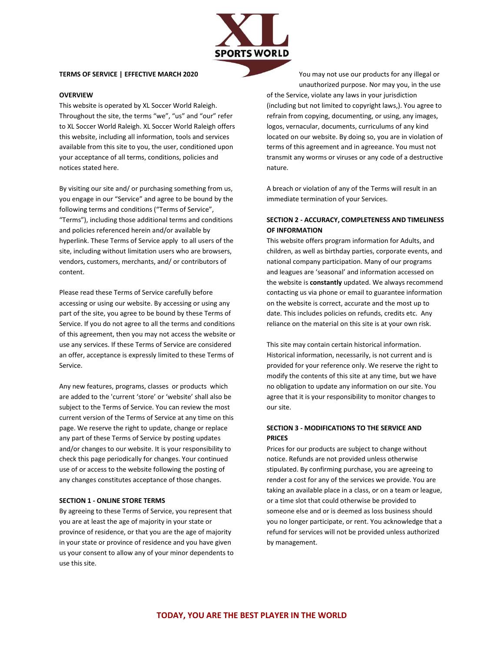

### **TERMS OF SERVICE | EFFECTIVE MARCH 2020**

#### **OVERVIEW**

This website is operated by XL Soccer World Raleigh. Throughout the site, the terms "we", "us" and "our" refer to XL Soccer World Raleigh. XL Soccer World Raleigh offers this website, including all information, tools and services available from this site to you, the user, conditioned upon your acceptance of all terms, conditions, policies and notices stated here.

By visiting our site and/ or purchasing something from us, you engage in our "Service" and agree to be bound by the following terms and conditions ("Terms of Service", "Terms"), including those additional terms and conditions and policies referenced herein and/or available by hyperlink. These Terms of Service apply to all users of the site, including without limitation users who are browsers, vendors, customers, merchants, and/ or contributors of content.

Please read these Terms of Service carefully before accessing or using our website. By accessing or using any part of the site, you agree to be bound by these Terms of Service. If you do not agree to all the terms and conditions of this agreement, then you may not access the website or use any services. If these Terms of Service are considered an offer, acceptance is expressly limited to these Terms of Service.

Any new features, programs, classes or products which are added to the 'current 'store' or 'website' shall also be subject to the Terms of Service. You can review the most current version of the Terms of Service at any time on this page. We reserve the right to update, change or replace any part of these Terms of Service by posting updates and/or changes to our website. It is your responsibility to check this page periodically for changes. Your continued use of or access to the website following the posting of any changes constitutes acceptance of those changes.

#### **SECTION 1 - ONLINE STORE TERMS**

By agreeing to these Terms of Service, you represent that you are at least the age of majority in your state or province of residence, or that you are the age of majority in your state or province of residence and you have given us your consent to allow any of your minor dependents to use this site.

You may not use our products for any illegal or unauthorized purpose. Nor may you, in the use of the Service, violate any laws in your jurisdiction (including but not limited to copyright laws,). You agree to refrain from copying, documenting, or using, any images, logos, vernacular, documents, curriculums of any kind located on our website. By doing so, you are in violation of terms of this agreement and in agreeance. You must not transmit any worms or viruses or any code of a destructive nature.

A breach or violation of any of the Terms will result in an immediate termination of your Services.

# **SECTION 2 - ACCURACY, COMPLETENESS AND TIMELINESS OF INFORMATION**

This website offers program information for Adults, and children, as well as birthday parties, corporate events, and national company participation. Many of our programs and leagues are 'seasonal' and information accessed on the website is **constantly** updated. We always recommend contacting us via phone or email to guarantee information on the website is correct, accurate and the most up to date. This includes policies on refunds, credits etc. Any reliance on the material on this site is at your own risk.

This site may contain certain historical information. Historical information, necessarily, is not current and is provided for your reference only. We reserve the right to modify the contents of this site at any time, but we have no obligation to update any information on our site. You agree that it is your responsibility to monitor changes to our site.

## **SECTION 3 - MODIFICATIONS TO THE SERVICE AND PRICES**

Prices for our products are subject to change without notice. Refunds are not provided unless otherwise stipulated. By confirming purchase, you are agreeing to render a cost for any of the services we provide. You are taking an available place in a class, or on a team or league, or a time slot that could otherwise be provided to someone else and or is deemed as loss business should you no longer participate, or rent. You acknowledge that a refund for services will not be provided unless authorized by management.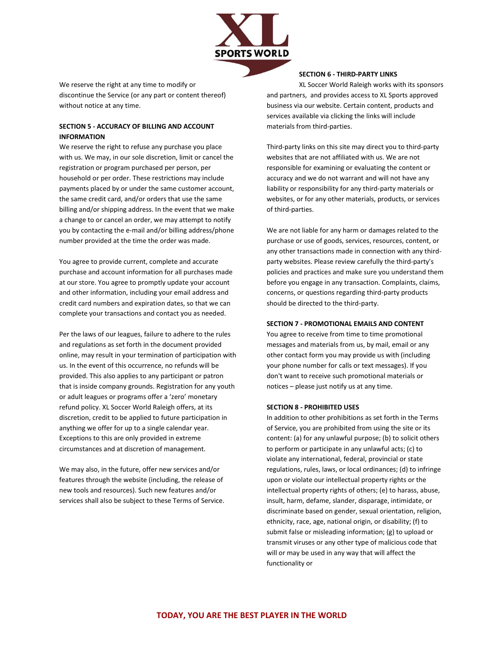

We reserve the right at any time to modify or discontinue the Service (or any part or content thereof) without notice at any time.

## **SECTION 5 - ACCURACY OF BILLING AND ACCOUNT INFORMATION**

We reserve the right to refuse any purchase you place with us. We may, in our sole discretion, limit or cancel the registration or program purchased per person, per household or per order. These restrictions may include payments placed by or under the same customer account, the same credit card, and/or orders that use the same billing and/or shipping address. In the event that we make a change to or cancel an order, we may attempt to notify you by contacting the e-mail and/or billing address/phone number provided at the time the order was made.

You agree to provide current, complete and accurate purchase and account information for all purchases made at our store. You agree to promptly update your account and other information, including your email address and credit card numbers and expiration dates, so that we can complete your transactions and contact you as needed.

Per the laws of our leagues, failure to adhere to the rules and regulations as set forth in the document provided online, may result in your termination of participation with us. In the event of this occurrence, no refunds will be provided. This also applies to any participant or patron that is inside company grounds. Registration for any youth or adult leagues or programs offer a 'zero' monetary refund policy. XL Soccer World Raleigh offers, at its discretion, credit to be applied to future participation in anything we offer for up to a single calendar year. Exceptions to this are only provided in extreme circumstances and at discretion of management.

We may also, in the future, offer new services and/or features through the website (including, the release of new tools and resources). Such new features and/or services shall also be subject to these Terms of Service.

## **SECTION 6 - THIRD-PARTY LINKS**

XL Soccer World Raleigh works with its sponsors and partners, and provides access to XL Sports approved business via our website. Certain content, products and services available via clicking the links will include materials from third-parties.

Third-party links on this site may direct you to third-party websites that are not affiliated with us. We are not responsible for examining or evaluating the content or accuracy and we do not warrant and will not have any liability or responsibility for any third-party materials or websites, or for any other materials, products, or services of third-parties.

We are not liable for any harm or damages related to the purchase or use of goods, services, resources, content, or any other transactions made in connection with any thirdparty websites. Please review carefully the third-party's policies and practices and make sure you understand them before you engage in any transaction. Complaints, claims, concerns, or questions regarding third-party products should be directed to the third-party.

### **SECTION 7 - PROMOTIONAL EMAILS AND CONTENT**

You agree to receive from time to time promotional messages and materials from us, by mail, email or any other contact form you may provide us with (including your phone number for calls or text messages). If you don't want to receive such promotional materials or notices – please just notify us at any time.

### **SECTION 8 - PROHIBITED USES**

In addition to other prohibitions as set forth in the Terms of Service, you are prohibited from using the site or its content: (a) for any unlawful purpose; (b) to solicit others to perform or participate in any unlawful acts; (c) to violate any international, federal, provincial or state regulations, rules, laws, or local ordinances; (d) to infringe upon or violate our intellectual property rights or the intellectual property rights of others; (e) to harass, abuse, insult, harm, defame, slander, disparage, intimidate, or discriminate based on gender, sexual orientation, religion, ethnicity, race, age, national origin, or disability; (f) to submit false or misleading information; (g) to upload or transmit viruses or any other type of malicious code that will or may be used in any way that will affect the functionality or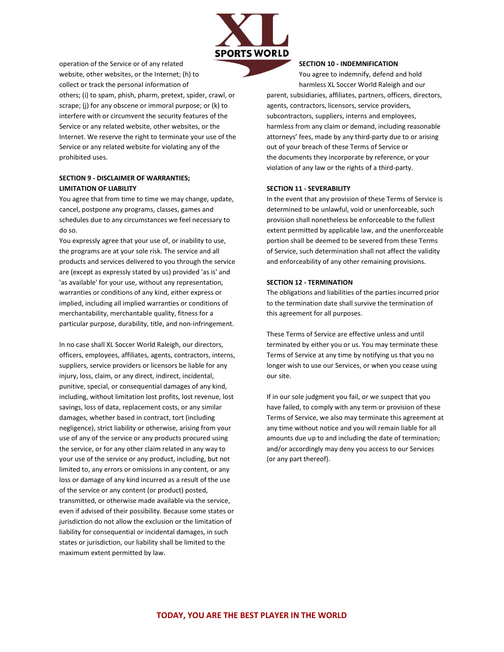

operation of the Service or of any related website, other websites, or the Internet; (h) to collect or track the personal information of others; (i) to spam, phish, pharm, pretext, spider, crawl, or scrape; (j) for any obscene or immoral purpose; or (k) to interfere with or circumvent the security features of the Service or any related website, other websites, or the Internet. We reserve the right to terminate your use of the Service or any related website for violating any of the prohibited uses.

### **SECTION 9 - DISCLAIMER OF WARRANTIES; LIMITATION OF LIABILITY**

You agree that from time to time we may change, update, cancel, postpone any programs, classes, games and schedules due to any circumstances we feel necessary to do so.

You expressly agree that your use of, or inability to use, the programs are at your sole risk. The service and all products and services delivered to you through the service are (except as expressly stated by us) provided 'as is' and 'as available' for your use, without any representation, warranties or conditions of any kind, either express or implied, including all implied warranties or conditions of merchantability, merchantable quality, fitness for a particular purpose, durability, title, and non-infringement.

In no case shall XL Soccer World Raleigh, our directors, officers, employees, affiliates, agents, contractors, interns, suppliers, service providers or licensors be liable for any injury, loss, claim, or any direct, indirect, incidental, punitive, special, or consequential damages of any kind, including, without limitation lost profits, lost revenue, lost savings, loss of data, replacement costs, or any similar damages, whether based in contract, tort (including negligence), strict liability or otherwise, arising from your use of any of the service or any products procured using the service, or for any other claim related in any way to your use of the service or any product, including, but not limited to, any errors or omissions in any content, or any loss or damage of any kind incurred as a result of the use of the service or any content (or product) posted, transmitted, or otherwise made available via the service, even if advised of their possibility. Because some states or jurisdiction do not allow the exclusion or the limitation of liability for consequential or incidental damages, in such states or jurisdiction, our liability shall be limited to the maximum extent permitted by law.

#### **SECTION 10 - INDEMNIFICATION**

You agree to indemnify, defend and hold harmless XL Soccer World Raleigh and our parent, subsidiaries, affiliates, partners, officers, directors, agents, contractors, licensors, service providers, subcontractors, suppliers, interns and employees, harmless from any claim or demand, including reasonable attorneys' fees, made by any third-party due to or arising out of your breach of these Terms of Service or

the documents they incorporate by reference, or your violation of any law or the rights of a third-party.

### **SECTION 11 - SEVERABILITY**

In the event that any provision of these Terms of Service is determined to be unlawful, void or unenforceable, such provision shall nonetheless be enforceable to the fullest extent permitted by applicable law, and the unenforceable portion shall be deemed to be severed from these Terms of Service, such determination shall not affect the validity and enforceability of any other remaining provisions.

### **SECTION 12 - TERMINATION**

The obligations and liabilities of the parties incurred prior to the termination date shall survive the termination of this agreement for all purposes.

These Terms of Service are effective unless and until terminated by either you or us. You may terminate these Terms of Service at any time by notifying us that you no longer wish to use our Services, or when you cease using our site.

If in our sole judgment you fail, or we suspect that you have failed, to comply with any term or provision of these Terms of Service, we also may terminate this agreement at any time without notice and you will remain liable for all amounts due up to and including the date of termination; and/or accordingly may deny you access to our Services (or any part thereof).